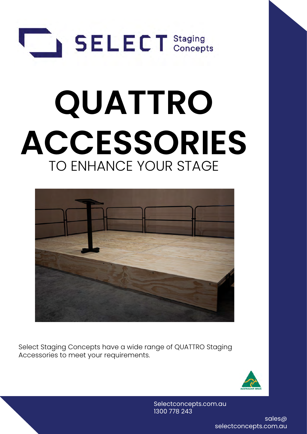

# **QUATTRO ACCESSORIES** TO ENHANCE YOUR STAGE



Select Staging Concepts have a wide range of QUATTRO Staging Accessories to meet your requirements.



Selectconcepts.com.au 1300 778 243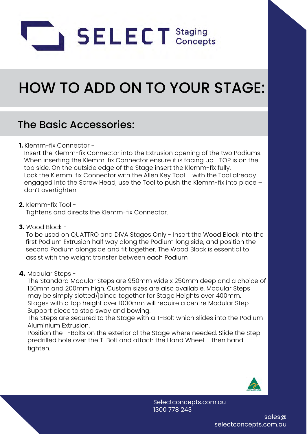

## HOW TO ADD ON TO YOUR STAGE:

## The Basic Accessories:

#### **1.** Klemm-fix Connector -

 Insert the Klemm-fix Connector into the Extrusion opening of the two Podiums. When inserting the Klemm-fix Connector ensure it is facing up– TOP is on the top side. On the outside edge of the Stage insert the Klemm-fix fully. Lock the Klemm-fix Connector with the Allen Key Tool – with the Tool already engaged into the Screw Head, use the Tool to push the Klemm-fix into place – don't overtighten.

#### **2.** Klemm-fix Tool -

Tightens and directs the Klemm-fix Connector.

**3.** Wood Block -

 To be used on QUATTRO and DIVA Stages Only - Insert the Wood Block into the first Podium Extrusion half way along the Podium long side, and position the second Podium alongside and fit together. The Wood Block is essential to assist with the weight transfer between each Podium

#### **4.** Modular Steps -

 The Standard Modular Steps are 950mm wide x 250mm deep and a choice of 150mm and 200mm high. Custom sizes are also available. Modular Steps may be simply slotted/joined together for Stage Heights over 400mm. Stages with a top height over 1000mm will require a centre Modular Step Support piece to stop sway and bowing.

 The Steps are secured to the Stage with a T-Bolt which slides into the Podium Aluminium Extrusion.

 Position the T-Bolts on the exterior of the Stage where needed. Slide the Step predrilled hole over the T-Bolt and attach the Hand Wheel – then hand tighten.



Selectconcepts.com.au 1300 778 243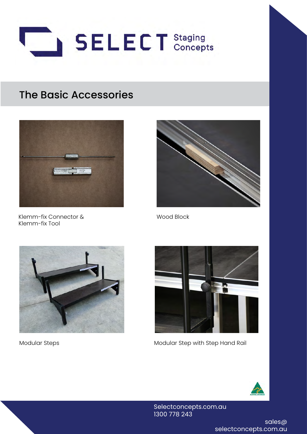



Klemm-fix Connector & Klemm-fix Tool



Wood Block





Modular Steps Modular Step with Step Hand Rail



Selectconcepts.com.au 1300 778 243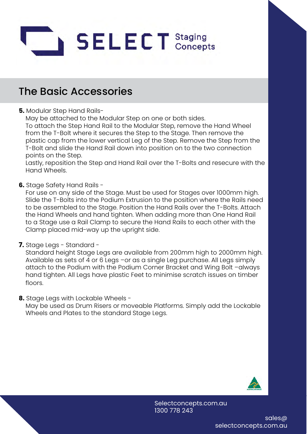

**5.** Modular Step Hand Rails-

May be attached to the Modular Step on one or both sides.

 To attach the Step Hand Rail to the Modular Step, remove the Hand Wheel from the T-Bolt where it secures the Step to the Stage. Then remove the plastic cap from the lower vertical Leg of the Step. Remove the Step from the T-Bolt and slide the Hand Rail down into position on to the two connection points on the Step.

 Lastly, reposition the Step and Hand Rail over the T-Bolts and resecure with the Hand Wheels.

**6.** Stage Safety Hand Rails -

 For use on any side of the Stage. Must be used for Stages over 1000mm high. Slide the T-Bolts into the Podium Extrusion to the position where the Rails need to be assembled to the Stage. Position the Hand Rails over the T-Bolts. Attach the Hand Wheels and hand tighten. When adding more than One Hand Rail to a Stage use a Rail Clamp to secure the Hand Rails to each other with the Clamp placed mid-way up the upright side.

**7.** Stage Legs - Standard -

 Standard height Stage Legs are available from 200mm high to 2000mm high. Available as sets of 4 or 6 Legs -or as a single Leg purchase. All Legs simply attach to the Podium with the Podium Corner Bracket and Wing Bolt –always hand tighten. All Legs have plastic Feet to minimise scratch issues on timber floors.

**8.** Stage Legs with Lockable Wheels -

 May be used as Drum Risers or moveable Platforms. Simply add the Lockable Wheels and Plates to the standard Stage Legs.

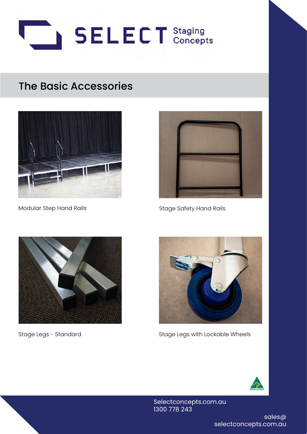





Modular Step Hand Rails North Stage Safety Hand Rails





Stage Legs - Standard and Stage Legs with Lockable Wheels



Selectconcepts.com.au 1300 778 243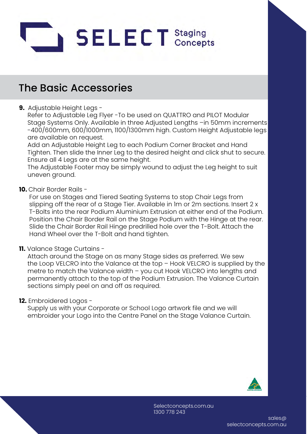

#### **9.** Adjustable Height Legs -

 Refer to Adjustable Leg Flyer -To be used on QUATTRO and PILOT Modular Stage Systems Only. Available in three Adjusted Lengths –in 50mm increments -400/600mm, 600/1000mm, 1100/1300mm high. Custom Height Adjustable legs are available on request.

 Add an Adjustable Height Leg to each Podium Corner Bracket and Hand Tighten. Then slide the Inner Leg to the desired height and click shut to secure. Ensure all 4 Legs are at the same height.

 The Adjustable Footer may be simply wound to adjust the Leg height to suit uneven ground.

#### **10.** Chair Border Rails -

 For use on Stages and Tiered Seating Systems to stop Chair Legs from slipping off the rear of a Stage Tier. Available in 1m or 2m sections. Insert 2 x T-Bolts into the rear Podium Aluminium Extrusion at either end of the Podium. Position the Chair Border Rail on the Stage Podium with the Hinge at the rear. Slide the Chair Border Rail Hinge predrilled hole over the T-Bolt. Attach the Hand Wheel over the T-Bolt and hand tighten.

#### **11.** Valance Stage Curtains -

 Attach around the Stage on as many Stage sides as preferred. We sew the Loop VELCRO into the Valance at the top – Hook VELCRO is supplied by the metre to match the Valance width – you cut Hook VELCRO into lengths and permanently attach to the top of the Podium Extrusion. The Valance Curtain sections simply peel on and off as required.

#### **12.** Embroidered Logos -

 Supply us with your Corporate or School Logo artwork file and we will embroider your Logo into the Centre Panel on the Stage Valance Curtain.

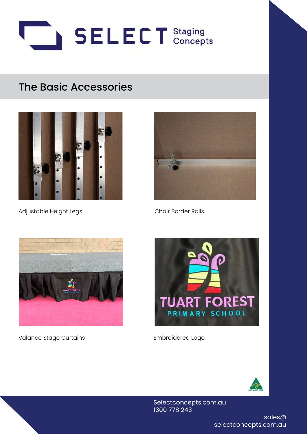



Adjustable Height Legs Chair Border Rails





Valance Stage Curtains The Controller Embroidered Logo





Selectconcepts.com.au 1300 778 243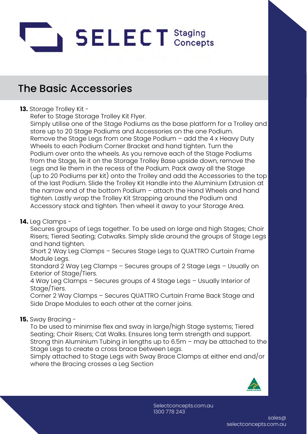

#### **13.** Storage Trolley Kit -

Refer to Stage Storage Trolley Kit Flyer.

 Simply utilise one of the Stage Podiums as the base platform for a Trolley and store up to 20 Stage Podiums and Accessories on the one Podium. Remove the Stage Legs from one Stage Podium – add the 4 x Heavy Duty Wheels to each Podium Corner Bracket and hand tighten. Turn the Podium over onto the wheels. As you remove each of the Stage Podiums from the Stage, lie it on the Storage Trolley Base upside down, remove the Legs and lie them in the recess of the Podium. Pack away all the Stage (up to 20 Podiums per kit) onto the Trolley and add the Accessories to the top of the last Podium. Slide the Trolley Kit Handle into the Aluminium Extrusion at the narrow end of the bottom Podium – attach the Hand Wheels and hand tighten. Lastly wrap the Trolley Kit Strapping around the Podium and Accessory stack and tighten. Then wheel it away to your Storage Area.

#### **14.** Leg Clamps -

 Secures groups of Legs together. To be used on large and high Stages; Choir Risers; Tiered Seating; Catwalks. Simply slide around the groups of Stage Legs and hand tighten.

 Short 2 Way Leg Clamps – Secures Stage Legs to QUATTRO Curtain Frame Module Legs.

 Standard 2 Way Leg Clamps – Secures groups of 2 Stage Legs – Usually on Exterior of Stage/Tiers.

 4 Way Leg Clamps – Secures groups of 4 Stage Legs – Usually Interior of Stage/Tiers.

 Corner 2 Way Clamps – Secures QUATTRO Curtain Frame Back Stage and Side Drape Modules to each other at the corner joins.

#### **15.** Sway Bracing -

 To be used to minimise flex and sway in large/high Stage systems; Tiered Seating; Choir Risers; Cat Walks. Ensures long term strength and support. Strong thin Aluminium Tubing in lengths up to 6.5m – may be attached to the Stage Legs to create a cross brace between Legs.

 Simply attached to Stage Legs with Sway Brace Clamps at either end and/or where the Bracing crosses a Leg Section

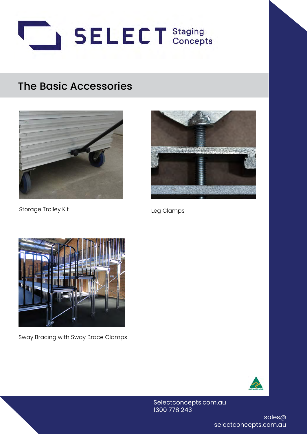



Storage Trolley Kit Leg Clamps





Sway Bracing with Sway Brace Clamps



Selectconcepts.com.au 1300 778 243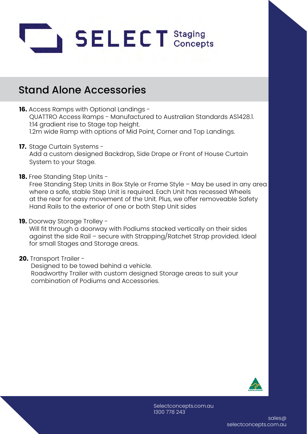

- **16.** Access Ramps with Optional Landings QUATTRO Access Ramps - Manufactured to Australian Standards AS1428.1. 1:14 gradient rise to Stage top height. 1.2m wide Ramp with options of Mid Point, Corner and Top Landings.
- **17.** Stage Curtain Systems Add a custom designed Backdrop, Side Drape or Front of House Curtain System to your Stage.
- **18.** Free Standing Step Units -

 Free Standing Step Units in Box Style or Frame Style – May be used in any area where a safe, stable Step Unit is required. Each Unit has recessed Wheels at the rear for easy movement of the Unit. Plus, we offer removeable Safety Hand Rails to the exterior of one or both Step Unit sides

**19.** Doorway Storage Trolley -

 Will fit through a doorway with Podiums stacked vertically on their sides against the side Rail – secure with Strapping/Ratchet Strap provided. Ideal for small Stages and Storage areas.

**20.** Transport Trailer -

 Designed to be towed behind a vehicle. Roadworthy Trailer with custom designed Storage areas to suit your combination of Podiums and Accessories.

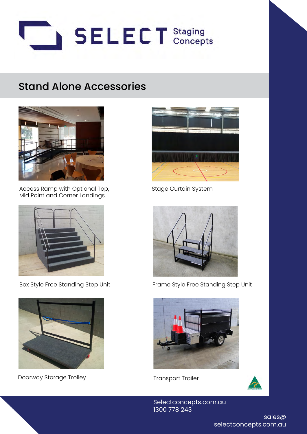



Access Ramp with Optional Top, Mid Point and Corner Landings.



Box Style Free Standing Step Unit



Doorway Storage Trolley



Stage Curtain System



Frame Style Free Standing Step Unit



Transport Trailer



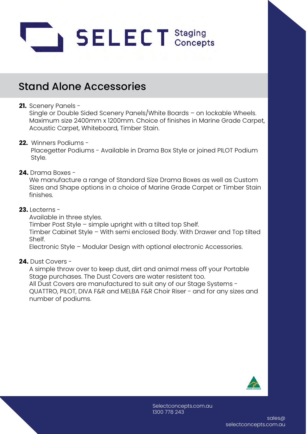

#### **21.** Scenery Panels -

 Single or Double Sided Scenery Panels/White Boards – on lockable Wheels. Maximum size 2400mm x 1200mm. Choice of finishes in Marine Grade Carpet, Acoustic Carpet, Whiteboard, Timber Stain.

#### **22.** Winners Podiums -

 Placegetter Podiums - Available in Drama Box Style or joined PILOT Podium Style.

#### **24.** Drama Boxes -

 We manufacture a range of Standard Size Drama Boxes as well as Custom Sizes and Shape options in a choice of Marine Grade Carpet or Timber Stain finishes.

#### **23.** Lecterns -

Available in three styles.

 Timber Post Style – simple upright with a tilted top Shelf. Timber Cabinet Style – With semi enclosed Body. With Drawer and Top tilted Shelf.

Electronic Style – Modular Design with optional electronic Accessories.

#### **24.** Dust Covers -

 A simple throw over to keep dust, dirt and animal mess off your Portable Stage purchases. The Dust Covers are water resistent too. All Dust Covers are manufactured to suit any of our Stage Systems - QUATTRO, PILOT, DIVA F&R and MELBA F&R Choir Riser - and for any sizes and number of podiums.

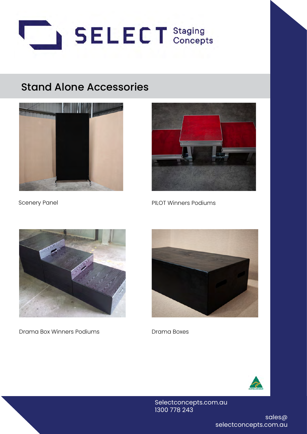





Scenery Panel **PILOT Winners Podiums** 



Drama Box Winners Podiums



Drama Boxes



Selectconcepts.com.au 1300 778 243